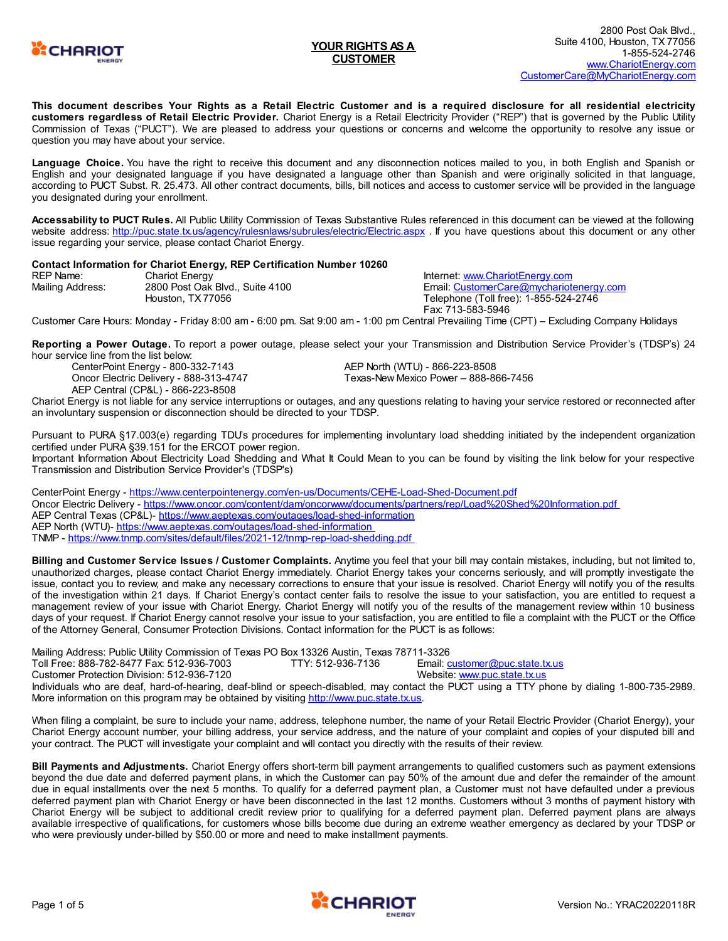

This document describes Your Rights as a Retail Electric Customer and is a required disclosure for all residential electricity **customers regardless of Retail Electric Provider.** Chariot Energy is a Retail Electricity Provider ("REP") that is governed by the Public Utility Commission of Texas ("PUCT"). We are pleased to address your questions or concerns and welcome the opportunity to resolve any issue or question you may have about your service.

**Language Choice.** You have the right to receive this document and any disconnection notices mailed to you, in both English and Spanish or English and your designated language if you have designated a language other than Spanish and were originally solicited in that language, according to PUCT Subst. R. 25.473. All other contract documents, bills, bill notices and access to customer service will be provided in the language you designated during your enrollment.

**Accessability to PUCT Rules.** All Public Utility Commission of Texas Substantive Rules referenced in this document can be viewed at the following website address: <http://puc.state.tx.us/agency/rulesnlaws/subrules/electric/Electric.aspx> . If you have questions about this document or any other issue regarding your service, please contact Chariot Energy.

#### **Contact Information for Chariot Energy, REP Certification Number 10260**

| <b>REP Name:</b> | <b>Chariot Energy</b>           | Internet: www.ChariotEnergy.com         |
|------------------|---------------------------------|-----------------------------------------|
| Mailing Address: | 2800 Post Oak Blvd., Suite 4100 | Email: CustomerCare@mychariotenergy.com |
|                  | Houston, TX77056                | Telephone (Toll free): 1-855-524-2746   |
|                  |                                 | Fax: 713-583-5946                       |

Customer Care Hours: Monday - Friday 8:00 am - 6:00 pm. Sat 9:00 am - 1:00 pm Central Prevailing Time (CPT) – Excluding Company Holidays

**Reporting a Power Outage.** To report a power outage, please select your your Transmission and Distribution Service Provider's (TDSP's) 24 hour service line from the list below:

CenterPoint Energy - 800-332-7143 Oncor Electric Delivery - 888-313-4747 AEP Central (CP&L) - 866-223-8508

AEP North (WTU) - 866-223-8508 Texas-New Mexico Power – 888-866-7456

Chariot Energy is not liable for any service interruptions or outages, and any questions relating to having your service restored or reconnected after an involuntary suspension or disconnection should be directed to your TDSP.

Pursuant to PURA §17.003(e) regarding TDU's procedures for implementing involuntary load shedding initiated by the independent organization certified under PURA §39.151 for the ERCOT power region.

Important Information About Electricity Load Shedding and What It Could Mean to you can be found by visiting the link below for your respective Transmission and Distribution Service Provider's (TDSP's)

CenterPoint Energy - <https://www.centerpointenergy.com/en-us/Documents/CEHE-Load-Shed-Document.pdf> Oncor Electric Delivery - [https://www.oncor.com/content/dam/oncorwww/documents/partners/rep/Load%20Shed%20Information.pdf](https://www.oncor.com/content/dam/oncorwww/documents/partners/rep/Load Shed Information.pdf) AEP Central Texas (CP&L)- <https://www.aeptexas.com/outages/load-shed-information> AEP North (WTU)- <https://www.aeptexas.com/outages/load-shed-information> TNMP - <https://www.tnmp.com/sites/default/files/2021-12/tnmp-rep-load-shedding.pdf>

**Billing and Customer Service Issues / Customer Complaints.** Anytime you feel that your bill may contain mistakes, including, but not limited to, unauthorized charges, please contact Chariot Energy immediately. Chariot Energy takes your concerns seriously, and will promptly investigate the issue, contact you to review, and make any necessary corrections to ensure that your issue is resolved. Chariot Energy will notify you of the results of the investigation within 21 days. If Chariot Energy's contact center fails to resolve the issue to your satisfaction, you are entitled to request a management review of your issue with Chariot Energy. Chariot Energy will notify you of the results of the management review within 10 business days of your request. If Chariot Energy cannot resolve your issue to your satisfaction, you are entitled to file a complaint with the PUCT or the Office of the Attorney General, Consumer Protection Divisions. Contact information for the PUCT is as follows:

Mailing Address: Public Utility Commission of Texas PO Box 13326 Austin, Texas 78711-3326 Toll Free: 888-782-8477 Fax: 512-936-7003 TTY: 512-936-7136 Email: [customer@puc.state.tx.us](mailto:customer@puc.state.tx.us) Customer Protection Division: 512-936-7120 Website: [www.puc.state.tx.us](http://www.puc.state.tx.us) Individuals who are deaf, hard-of-hearing, deaf-blind or speech-disabled, may contact the PUCT using a TTY phone by dialing 1-800-735-2989. More information on this program may be obtained by visiting <http://www.puc.state.tx.us>.

When filing a complaint, be sure to include your name, address, telephone number, the name of your Retail Electric Provider (Chariot Energy), your Chariot Energy account number, your billing address, your service address, and the nature of your complaint and copies of your disputed bill and your contract. The PUCT will investigate your complaint and will contact you directly with the results of their review.

**Bill Payments and Adjustments.** Chariot Energy offers short-term bill payment arrangements to qualified customers such as payment extensions beyond the due date and deferred payment plans, in which the Customer can pay 50% of the amount due and defer the remainder of the amount due in equal installments over the next 5 months. To qualify for a deferred payment plan, a Customer must not have defaulted under a previous deferred payment plan with Chariot Energy or have been disconnected in the last 12 months. Customers without 3 months of payment history with Chariot Energy will be subject to additional credit review prior to qualifying for a deferred payment plan. Deferred payment plans are always available irrespective of qualifications, for customers whose bills become due during an extreme weather emergency as declared by your TDSP or who were previously under-billed by \$50.00 or more and need to make installment payments.

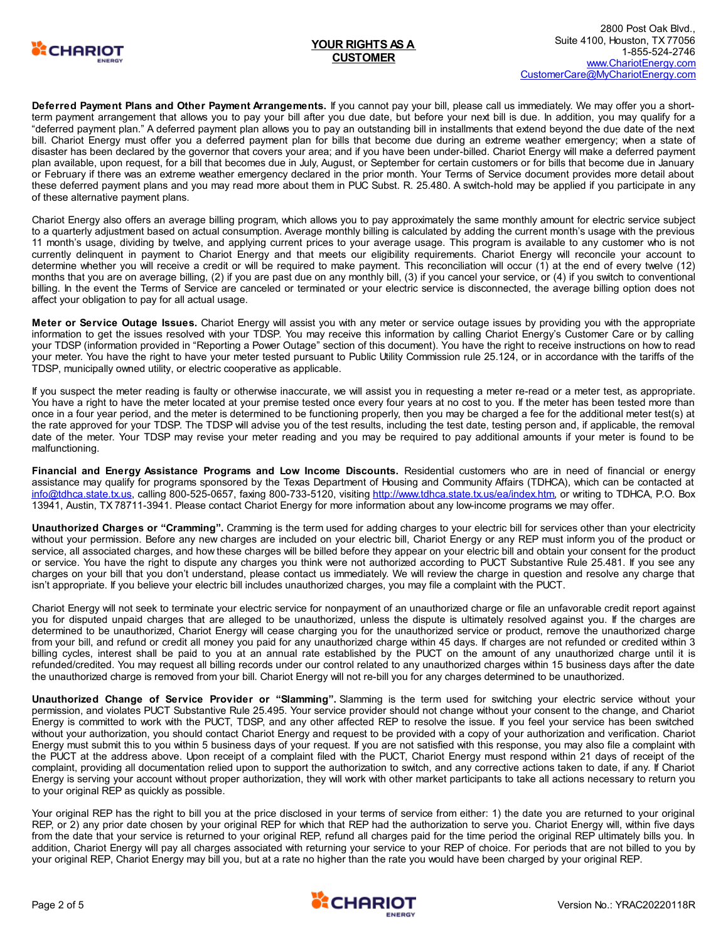

**Deferred Payment Plans and Other Payment Arrangements.** If you cannot pay your bill, please call us immediately. We may offer you a shortterm payment arrangement that allows you to pay your bill after you due date, but before your next bill is due. In addition, you may qualify for a "deferred payment plan." A deferred payment plan allows you to pay an outstanding bill in installments that extend beyond the due date of the next bill. Chariot Energy must offer you a deferred payment plan for bills that become due during an extreme weather emergency; when a state of disaster has been declared by the governor that covers your area; and if you have been under-billed. Chariot Energy will make a deferred payment plan available, upon request, for a bill that becomes due in July, August, or September for certain customers or for bills that become due in January or February if there was an extreme weather emergency declared in the prior month. Your Terms of Service document provides more detail about these deferred payment plans and you may read more about them in PUC Subst. R. 25.480. A switch-hold may be applied if you participate in any of these alternative payment plans.

Chariot Energy also offers an average billing program, which allows you to pay approximately the same monthly amount for electric service subject to a quarterly adjustment based on actual consumption. Average monthly billing is calculated by adding the current month's usage with the previous 11 month's usage, dividing by twelve, and applying current prices to your average usage. This program is available to any customer who is not currently delinquent in payment to Chariot Energy and that meets our eligibility requirements. Chariot Energy will reconcile your account to determine whether you will receive a credit or will be required to make payment. This reconciliation will occur (1) at the end of every twelve (12) months that you are on average billing, (2) if you are past due on any monthly bill, (3) if you cancel your service, or (4) if you switch to conventional billing. In the event the Terms of Service are canceled or terminated or your electric service is disconnected, the average billing option does not affect your obligation to pay for all actual usage.

**Meter or Service Outage Issues.** Chariot Energy will assist you with any meter or service outage issues by providing you with the appropriate information to get the issues resolved with your TDSP. You may receive this information by calling Chariot Energy's Customer Care or by calling your TDSP (information provided in "Reporting a Power Outage" section of this document). You have the right to receive instructions on how to read your meter. You have the right to have your meter tested pursuant to Public Utility Commission rule 25.124, or in accordance with the tariffs of the TDSP, municipally owned utility, or electric cooperative as applicable.

If you suspect the meter reading is faulty or otherwise inaccurate, we will assist you in requesting a meter re-read or a meter test, as appropriate. You have a right to have the meter located at your premise tested once every four years at no cost to you. If the meter has been tested more than once in a four year period, and the meter is determined to be functioning properly, then you may be charged a fee for the additional meter test(s) at the rate approved for your TDSP. The TDSP will advise you of the test results, including the test date, testing person and, if applicable, the removal date of the meter. Your TDSP may revise your meter reading and you may be required to pay additional amounts if your meter is found to be malfunctioning.

**Financial and Energy Assistance Programs and Low Income Discounts.** Residential customers who are in need of financial or energy assistance may qualify for programs sponsored by the Texas Department of Housing and Community Affairs (TDHCA), which can be contacted at [info@tdhca.state.tx.us](mailto:info@tdhca.state.tx.us), calling 800-525-0657, faxing 800-733-5120, visiting <http://www.tdhca.state.tx.us/ea/index.htm>, or writing to TDHCA, P.O. Box 13941, Austin, TX 78711-3941. Please contact Chariot Energy for more information about any low-income programs we may offer.

**Unauthorized Charges or "Cramming".** Cramming is the term used for adding charges to your electric bill for services other than your electricity without your permission. Before any new charges are included on your electric bill, Chariot Energy or any REP must inform you of the product or service, all associated charges, and how these charges will be billed before they appear on your electric bill and obtain your consent for the product or service. You have the right to dispute any charges you think were not authorized according to PUCT Substantive Rule 25.481. If you see any charges on your bill that you don't understand, please contact us immediately. We will review the charge in question and resolve any charge that isn't appropriate. If you believe your electric bill includes unauthorized charges, you may file a complaint with the PUCT.

Chariot Energy will not seek to terminate your electric service for nonpayment of an unauthorized charge or file an unfavorable credit report against you for disputed unpaid charges that are alleged to be unauthorized, unless the dispute is ultimately resolved against you. If the charges are determined to be unauthorized, Chariot Energy will cease charging you for the unauthorized service or product, remove the unauthorized charge from your bill, and refund or credit all money you paid for any unauthorized charge within 45 days. If charges are not refunded or credited within 3 billing cycles, interest shall be paid to you at an annual rate established by the PUCT on the amount of any unauthorized charge until it is refunded/credited. You may request all billing records under our control related to any unauthorized charges within 15 business days after the date the unauthorized charge is removed from your bill. Chariot Energy will not re-bill you for any charges determined to be unauthorized.

**Unauthorized Change of Service Provider or "Slamming".** Slamming is the term used for switching your electric service without your permission, and violates PUCT Substantive Rule 25.495. Your service provider should not change without your consent to the change, and Chariot Energy is committed to work with the PUCT, TDSP, and any other affected REP to resolve the issue. If you feel your service has been switched without your authorization, you should contact Chariot Energy and request to be provided with a copy of your authorization and verification. Chariot Energy must submit this to you within 5 business days of your request. If you are not satisfied with this response, you may also file a complaint with the PUCT at the address above. Upon receipt of a complaint filed with the PUCT, Chariot Energy must respond within 21 days of receipt of the complaint, providing all documentation relied upon to support the authorization to switch, and any corrective actions taken to date, if any. If Chariot Energy is serving your account without proper authorization, they will work with other market participants to take all actions necessary to return you to your original REP as quickly as possible.

Your original REP has the right to bill you at the price disclosed in your terms of service from either: 1) the date you are returned to your original REP, or 2) any prior date chosen by your original REP for which that REP had the authorization to serve you. Chariot Energy will, within five days from the date that your service is returned to your original REP, refund all charges paid for the time period the original REP ultimately bills you. In addition, Chariot Energy will pay all charges associated with returning your service to your REP of choice. For periods that are not billed to you by your original REP, Chariot Energy may bill you, but at a rate no higher than the rate you would have been charged by your original REP.

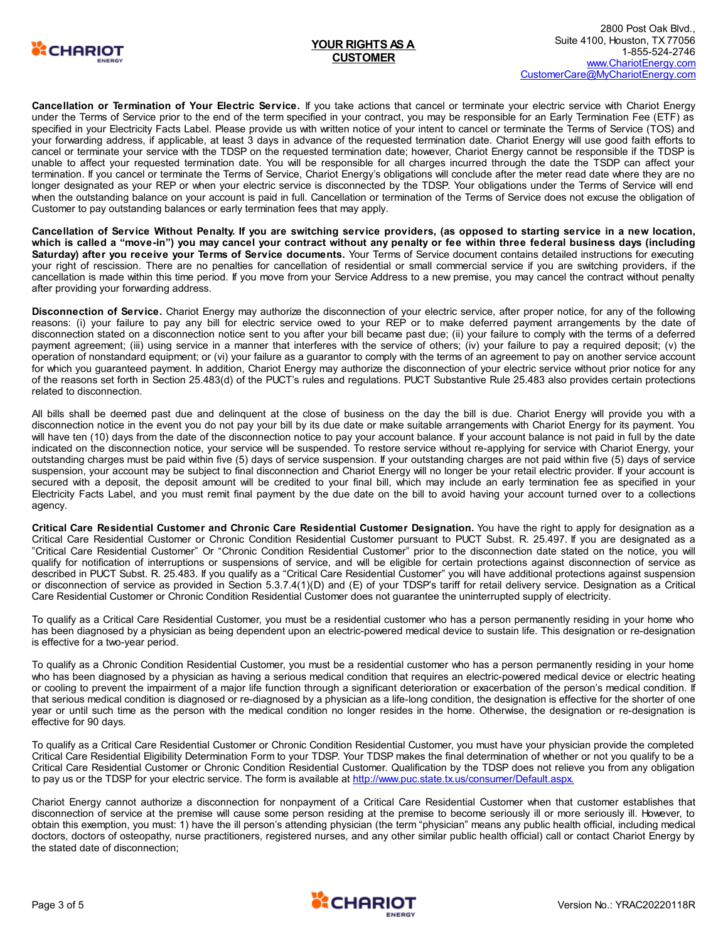

**Cancellation or Termination of Your Electric Service.** If you take actions that cancel or terminate your electric service with Chariot Energy under the Terms of Service prior to the end of the term specified in your contract, you may be responsible for an Early Termination Fee (ETF) as specified in your Electricity Facts Label. Please provide us with written notice of your intent to cancel or terminate the Terms of Service (TOS) and your forwarding address, if applicable, at least 3 days in advance of the requested termination date. Chariot Energy will use good faith efforts to cancel or terminate your service with the TDSP on the requested termination date; however, Chariot Energy cannot be responsible if the TDSP is unable to affect your requested termination date. You will be responsible for all charges incurred through the date the TSDP can affect your termination. If you cancel or terminate the Terms of Service, Chariot Energy's obligations will conclude after the meter read date where they are no longer designated as your REP or when your electric service is disconnected by the TDSP. Your obligations under the Terms of Service will end when the outstanding balance on your account is paid in full. Cancellation or termination of the Terms of Service does not excuse the obligation of Customer to pay outstanding balances or early termination fees that may apply.

Cancellation of Service Without Penalty. If you are switching service providers, (as opposed to starting service in a new location, which is called a "move-in") you may cancel your contract without any penalty or fee within three federal business days (including **Saturday) after you receive your Terms of Service documents.** Your Terms of Service document contains detailed instructions for executing your right of rescission. There are no penalties for cancellation of residential or small commercial service if you are switching providers, if the cancellation is made within this time period. If you move from your Service Address to a new premise, you may cancel the contract without penalty after providing your forwarding address.

**Disconnection of Service.** Chariot Energy may authorize the disconnection of your electric service, after proper notice, for any of the following reasons: (i) your failure to pay any bill for electric service owed to your REP or to make deferred payment arrangements by the date of disconnection stated on a disconnection notice sent to you after your bill became past due; (ii) your failure to comply with the terms of a deferred payment agreement; (iii) using service in a manner that interferes with the service of others; (iv) your failure to pay a required deposit; (v) the operation of nonstandard equipment; or (vi) your failure as a guarantor to comply with the terms of an agreement to pay on another service account for which you guaranteed payment. In addition, Chariot Energy may authorize the disconnection of your electric service without prior notice for any of the reasons set forth in Section 25.483(d) of the PUCT's rules and regulations. PUCT Substantive Rule 25.483 also provides certain protections related to disconnection.

All bills shall be deemed past due and delinquent at the close of business on the day the bill is due. Chariot Energy will provide you with a disconnection notice in the event you do not pay your bill by its due date or make suitable arrangements with Chariot Energy for its payment. You will have ten (10) days from the date of the disconnection notice to pay your account balance. If your account balance is not paid in full by the date indicated on the disconnection notice, your service will be suspended. To restore service without re-applying for service with Chariot Energy, your outstanding charges must be paid within five (5) days of service suspension. If your outstanding charges are not paid within five (5) days of service suspension, your account may be subject to final disconnection and Chariot Energy will no longer be your retail electric provider. If your account is secured with a deposit, the deposit amount will be credited to your final bill, which may include an early termination fee as specified in your Electricity Facts Label, and you must remit final payment by the due date on the bill to avoid having your account turned over to a collections agency.

**Critical Care Residential Customer and Chronic Care Residential Customer Designation.** You have the right to apply for designation as a Critical Care Residential Customer or Chronic Condition Residential Customer pursuant to PUCT Subst. R. 25.497. If you are designated as a "Critical Care Residential Customer" Or "Chronic Condition Residential Customer" prior to the disconnection date stated on the notice, you will qualify for notification of interruptions or suspensions of service, and will be eligible for certain protections against disconnection of service as described in PUCT Subst. R. 25.483. If you qualify as a "Critical Care Residential Customer" you will have additional protections against suspension or disconnection of service as provided in Section 5.3.7.4(1)(D) and (E) of your TDSP's tariff for retail delivery service. Designation as a Critical Care Residential Customer or Chronic Condition Residential Customer does not guarantee the uninterrupted supply of electricity.

To qualify as a Critical Care Residential Customer, you must be a residential customer who has a person permanently residing in your home who has been diagnosed by a physician as being dependent upon an electric-powered medical device to sustain life. This designation or re-designation is effective for a two-year period.

To qualify as a Chronic Condition Residential Customer, you must be a residential customer who has a person permanently residing in your home who has been diagnosed by a physician as having a serious medical condition that requires an electric-powered medical device or electric heating or cooling to prevent the impairment of a major life function through a significant deterioration or exacerbation of the person's medical condition. If that serious medical condition is diagnosed or re-diagnosed by a physician as a life-long condition, the designation is effective for the shorter of one year or until such time as the person with the medical condition no longer resides in the home. Otherwise, the designation or re-designation is effective for 90 days.

To qualify as a Critical Care Residential Customer or Chronic Condition Residential Customer, you must have your physician provide the completed Critical Care Residential Eligibility Determination Form to your TDSP. Your TDSP makes the final determination of whether or not you qualify to be a Critical Care Residential Customer or Chronic Condition Residential Customer. Qualification by the TDSP does not relieve you from any obligation to pay us or the TDSP for your electric service. The form is available at <http://www.puc.state.tx.us/consumer/Default.aspx.>

Chariot Energy cannot authorize a disconnection for nonpayment of a Critical Care Residential Customer when that customer establishes that disconnection of service at the premise will cause some person residing at the premise to become seriously ill or more seriously ill. However, to obtain this exemption, you must: 1) have the ill person's attending physician (the term "physician" means any public health official, including medical doctors, doctors of osteopathy, nurse practitioners, registered nurses, and any other similar public health official) call or contact Chariot Energy by the stated date of disconnection;

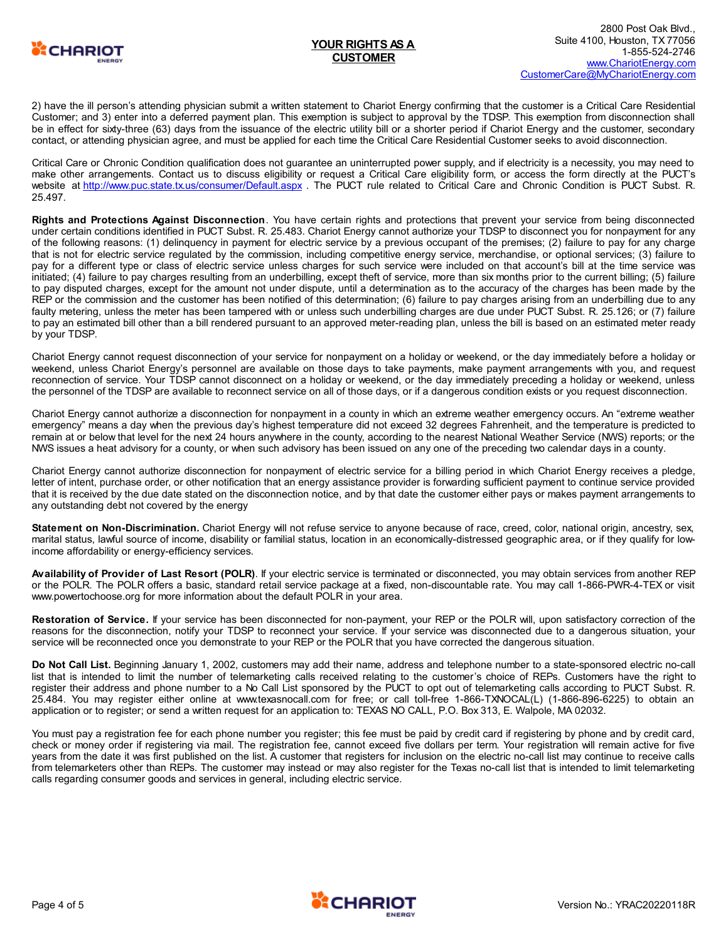

2) have the ill person's attending physician submit a written statement to Chariot Energy confirming that the customer is a Critical Care Residential Customer; and 3) enter into a deferred payment plan. This exemption is subject to approval by the TDSP. This exemption from disconnection shall be in effect for sixty-three (63) days from the issuance of the electric utility bill or a shorter period if Chariot Energy and the customer, secondary contact, or attending physician agree, and must be applied for each time the Critical Care Residential Customer seeks to avoid disconnection.

Critical Care or Chronic Condition qualification does not guarantee an uninterrupted power supply, and if electricity is a necessity, you may need to make other arrangements. Contact us to discuss eligibility or request a Critical Care eligibility form, or access the form directly at the PUCT's website at <http://www.puc.state.tx.us/consumer/Default.aspx> . The PUCT rule related to Critical Care and Chronic Condition is PUCT Subst. R. 25.497.

**Rights and Protections Against Disconnection**. You have certain rights and protections that prevent your service from being disconnected under certain conditions identified in PUCT Subst. R. 25.483. Chariot Energy cannot authorize your TDSP to disconnect you for nonpayment for any of the following reasons: (1) delinquency in payment for electric service by a previous occupant of the premises; (2) failure to pay for any charge that is not for electric service regulated by the commission, including competitive energy service, merchandise, or optional services; (3) failure to pay for a different type or class of electric service unless charges for such service were included on that account's bill at the time service was initiated; (4) failure to pay charges resulting from an underbilling, except theft of service, more than six months prior to the current billing; (5) failure to pay disputed charges, except for the amount not under dispute, until a determination as to the accuracy of the charges has been made by the REP or the commission and the customer has been notified of this determination; (6) failure to pay charges arising from an underbilling due to any faulty metering, unless the meter has been tampered with or unless such underbilling charges are due under PUCT Subst. R. 25.126; or (7) failure to pay an estimated bill other than a bill rendered pursuant to an approved meter-reading plan, unless the bill is based on an estimated meter ready by your TDSP.

Chariot Energy cannot request disconnection of your service for nonpayment on a holiday or weekend, or the day immediately before a holiday or weekend, unless Chariot Energy's personnel are available on those days to take payments, make payment arrangements with you, and request reconnection of service. Your TDSP cannot disconnect on a holiday or weekend, or the day immediately preceding a holiday or weekend, unless the personnel of the TDSP are available to reconnect service on all of those days, or if a dangerous condition exists or you request disconnection.

Chariot Energy cannot authorize a disconnection for nonpayment in a county in which an extreme weather emergency occurs. An "extreme weather emergency" means a day when the previous day's highest temperature did not exceed 32 degrees Fahrenheit, and the temperature is predicted to remain at or below that level for the next 24 hours anywhere in the county, according to the nearest National Weather Service (NWS) reports; or the NWS issues a heat advisory for a county, or when such advisory has been issued on any one of the preceding two calendar days in a county.

Chariot Energy cannot authorize disconnection for nonpayment of electric service for a billing period in which Chariot Energy receives a pledge, letter of intent, purchase order, or other notification that an energy assistance provider is forwarding sufficient payment to continue service provided that it is received by the due date stated on the disconnection notice, and by that date the customer either pays or makes payment arrangements to any outstanding debt not covered by the energy

**Statement on Non-Discrimination.** Chariot Energy will not refuse service to anyone because of race, creed, color, national origin, ancestry, sex, marital status, lawful source of income, disability or familial status, location in an economically-distressed geographic area, or if they qualify for lowincome affordability or energy-efficiency services.

**Availability of Provider of Last Resort (POLR)**. If your electric service is terminated or disconnected, you may obtain services from another REP or the POLR. The POLR offers a basic, standard retail service package at a fixed, non-discountable rate. You may call 1-866-PWR-4-TEX or visit www.powertochoose.org for more information about the default POLR in your area.

**Restoration of Service.** If your service has been disconnected for non-payment, your REP or the POLR will, upon satisfactory correction of the reasons for the disconnection, notify your TDSP to reconnect your service. If your service was disconnected due to a dangerous situation, your service will be reconnected once you demonstrate to your REP or the POLR that you have corrected the dangerous situation.

**Do Not Call List.** Beginning January 1, 2002, customers may add their name, address and telephone number to a state-sponsored electric no-call list that is intended to limit the number of telemarketing calls received relating to the customer's choice of REPs. Customers have the right to register their address and phone number to a No Call List sponsored by the PUCT to opt out of telemarketing calls according to PUCT Subst. R. 25.484. You may register either online at www.texasnocall.com for free; or call toll-free 1-866-TXNOCAL(L) (1-866-896-6225) to obtain an application or to register; or send a written request for an application to: TEXAS NO CALL, P.O. Box 313, E. Walpole, MA 02032.

You must pay a registration fee for each phone number you register; this fee must be paid by credit card if registering by phone and by credit card, check or money order if registering via mail. The registration fee, cannot exceed five dollars per term. Your registration will remain active for five years from the date it was first published on the list. A customer that registers for inclusion on the electric no-call list may continue to receive calls from telemarketers other than REPs. The customer may instead or may also register for the Texas no-call list that is intended to limit telemarketing calls regarding consumer goods and services in general, including electric service.